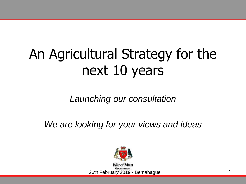## An Agricultural Strategy for the next 10 years

*Launching our consultation*

*We are looking for your views and ideas*

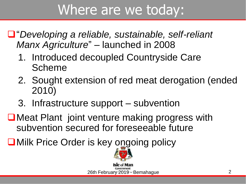### Where are we today:

- "*Developing a reliable, sustainable, self-reliant Manx Agriculture*" – launched in 2008
	- 1. Introduced decoupled Countryside Care Scheme
	- 2. Sought extension of red meat derogation (ended 2010)
	- 3. Infrastructure support subvention
- ■Meat Plant joint venture making progress with subvention secured for foreseeable future
- ■Milk Price Order is key ongoing policy



26th February 2019 - Bemahague 2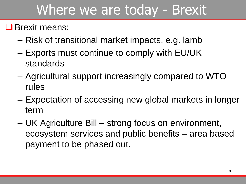### Where we are today - Brexit

#### **O** Brexit means:

- Risk of transitional market impacts, e.g. lamb
- Exports must continue to comply with EU/UK standards
- Agricultural support increasingly compared to WTO rules
- Expectation of accessing new global markets in longer term
- UK Agriculture Bill strong focus on environment, ecosystem services and public benefits – area based payment to be phased out.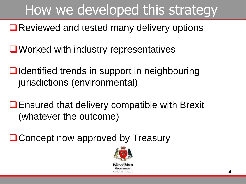# How we developed this strategy

■Reviewed and tested many delivery options

- **■Worked with industry representatives**
- **■** Identified trends in support in neighbouring jurisdictions (environmental)
- Ensured that delivery compatible with Brexit (whatever the outcome)

**□ Concept now approved by Treasury** 

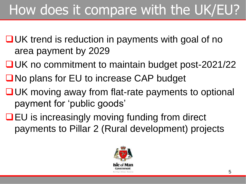# How does it compare with the UK/EU?

- $\Box$ UK trend is reduction in payments with goal of no area payment by 2029
- **□UK no commitment to maintain budget post-2021/22**
- ■No plans for EU to increase CAP budget
- **■UK moving away from flat-rate payments to optional** payment for 'public goods'
- **QEU** is increasingly moving funding from direct payments to Pillar 2 (Rural development) projects

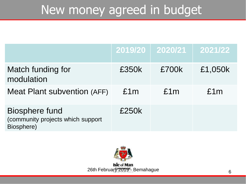#### New money agreed in budget

|                                                                          |       | $2019/20$ 2020/21 | 2021/22 |
|--------------------------------------------------------------------------|-------|-------------------|---------|
| Match funding for<br>modulation                                          | £350k | £700k             | £1,050k |
| <b>Meat Plant subvention (AFF)</b>                                       | £1m   | £1m               | £1m     |
| <b>Biosphere fund</b><br>(community projects which support<br>Biosphere) | £250k |                   |         |

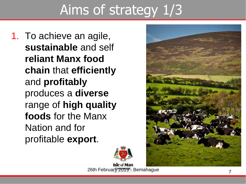# Aims of strategy 1/3

1. To achieve an agile, **sustainable** and self **reliant Manx food chain** that **efficiently** and **profitably** produces a **diverse** range of **high quality foods** for the Manx Nation and for profitable **export**.





Isle of Man 26th February 2019<sup>t</sup>. Bemahague 7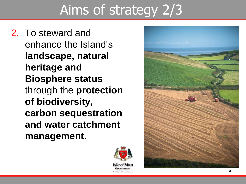# Aims of strategy 2/3

2. To steward and enhance the Island's **landscape, natural heritage and Biosphere status** through the **protection of biodiversity, carbon sequestration and water catchment management**.



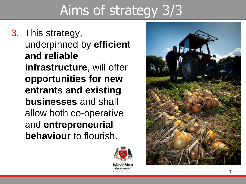# Aims of strategy 3/3

3. This strategy, underpinned by **efficient and reliable infrastructure**, will offer **opportunities for new entrants and existing businesses** and shall allow both co-operative and **entrepreneurial behaviour** to flourish.



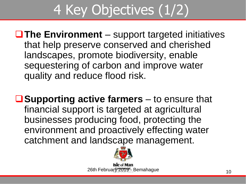# 4 Key Objectives (1/2)

■The Environment – support targeted initiatives that help preserve conserved and cherished landscapes, promote biodiversity, enable sequestering of carbon and improve water quality and reduce flood risk.

■ **Supporting active farmers** – to ensure that financial support is targeted at agricultural businesses producing food, protecting the environment and proactively effecting water catchment and landscape management.



26th February 2019<sup>t</sup>. Bemahague 26th February 2019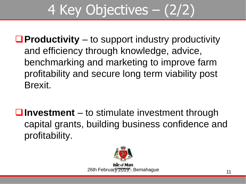# 4 Key Objectives – (2/2)

**Productivity** – to support industry productivity and efficiency through knowledge, advice, benchmarking and marketing to improve farm profitability and secure long term viability post Brexit.

**Investment** – to stimulate investment through capital grants, building business confidence and profitability.

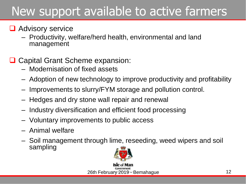#### New support available to active farmers

#### **Q** Advisory service

– Productivity, welfare/herd health, environmental and land management

#### **□ Capital Grant Scheme expansion:**

- Modernisation of fixed assets
- Adoption of new technology to improve productivity and profitability
- Improvements to slurry/FYM storage and pollution control.
- Hedges and dry stone wall repair and renewal
- Industry diversification and efficient food processing
- Voluntary improvements to public access
- Animal welfare
- Soil management through lime, reseeding, weed wipers and soil sampling

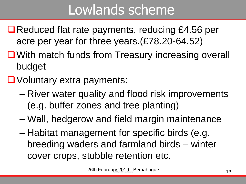## Lowlands scheme

- ■Reduced flat rate payments, reducing £4.56 per acre per year for three years.(£78.20-64.52)
- ■With match funds from Treasury increasing overall budget
- Voluntary extra payments:
	- River water quality and flood risk improvements (e.g. buffer zones and tree planting)
	- Wall, hedgerow and field margin maintenance
	- Habitat management for specific birds (e.g. breeding waders and farmland birds – winter cover crops, stubble retention etc.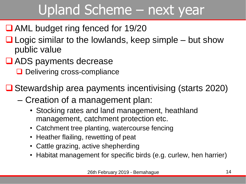## Upland Scheme – next year

- AML budget ring fenced for 19/20
- $\Box$  Logic similar to the lowlands, keep simple but show public value
- **□ ADS payments decrease** 
	- Delivering cross-compliance

 $\Box$  Stewardship area payments incentivising (starts 2020)

- Creation of a management plan:
	- Stocking rates and land management, heathland management, catchment protection etc.
	- Catchment tree planting, watercourse fencing
	- Heather flailing, rewetting of peat
	- Cattle grazing, active shepherding
	- Habitat management for specific birds (e.g. curlew, hen harrier)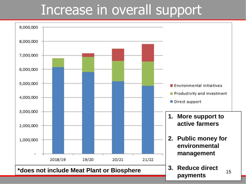### Increase in overall support

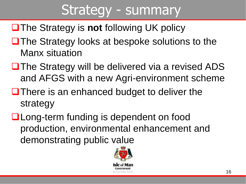### Strategy - summary

- ■The Strategy is **not** following UK policy
- **□ The Strategy looks at bespoke solutions to the** Manx situation
- $\Box$  The Strategy will be delivered via a revised ADS and AFGS with a new Agri-environment scheme
- $\Box$  There is an enhanced budget to deliver the strategy
- **Q** Long-term funding is dependent on food production, environmental enhancement and demonstrating public value

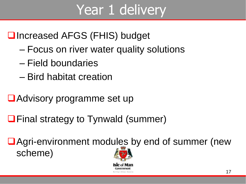## Year 1 delivery

#### **□Increased AFGS (FHIS) budget**

- Focus on river water quality solutions
- Field boundaries
- Bird habitat creation
- Advisory programme set up
- **□ Final strategy to Tynwald (summer)**

■ Agri-environment modules by end of summer (new scheme)

Reiffer-Ellen Vavarı

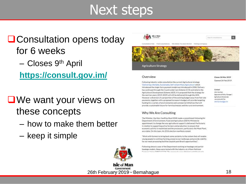#### Next steps

#### **Q** Consultation opens today for 6 weeks – Closes 9th April

**<https://consult.gov.im/>**

- **■We want your views on** these concepts
	- how to make them better
	- keep it simple



#### Overview

Following industry-wide consultation the current Agricultural strategy 'Delivering a Reliable, Sustainable, Self-reliant Manx Agriculture' which introduced the single-farm payment model was introduced in 2008. Delivery has continued through the Countryside Care Scheme (CCS) and latterly the Agricultural Development Scheme [ADS]. It is proposed that the strategy for the next ten years (2019-2029) will still be delivered through the ADS. However a diversion of a proportion of the coisting budget away from flat-rate payments, together with a proposed increase in budget will provide targeting funding for a variety of environmental and commercial initiatives that will provide a sustainable future for farm businesses and the rural environment.

#### Why We Are Consulting

The Minister, the Hon. Geoffrey Boot MHK made a commitment following his Department of Environment, Food and Agriculture (DEFA) Ministerial appointment, to change the way agricultural support is delivered. Particularly in relation to supporting active farmers and production, to ensure that economic activity is maximised and the processors, particularly the Meat Plant, are viable. On this topic, his 2016 election manifesto stated:

"Work with farmers to bring back some certainty to the system that will enable young people to continue farming, preserve our landscape and provide viability for our meet processing facilities (exploit post Brexit opportunities)".

Following almost a year of the Department working on headage and partialheadage models, these were tested with the industry at a Manx National. and the low that the total the company's come statement and statement

#### Closes 26 Mar 2019

Opened 26 Feb 2019

#### Contact

John Harrison (Agricultural Policy Manager) Apriculture Directorate +441634695734 John Namburg Lander

26th February 2019 - Bemahague 18



Government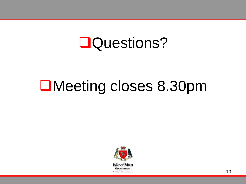#### Questions?

# Meeting closes 8.30pm